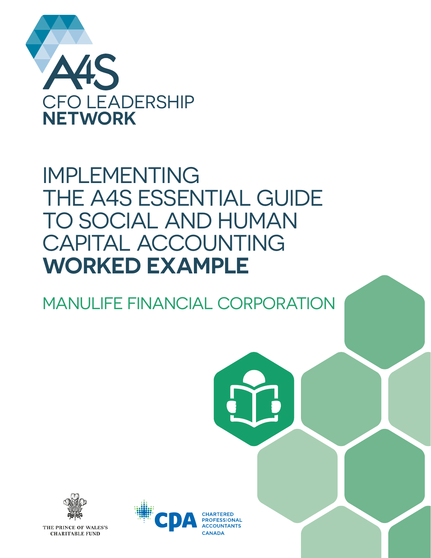

# IMPLEMENTING THE A4S ESSENTIAL GUIDE TO SOCIAL AND HUMAN CAPITAL ACCOUNTING **WORKED EXAMPLE**

MANULIFE FINANCIAL CORPORATION





THE PRINCE OF WALES'S **CHARITABLE FUND** 

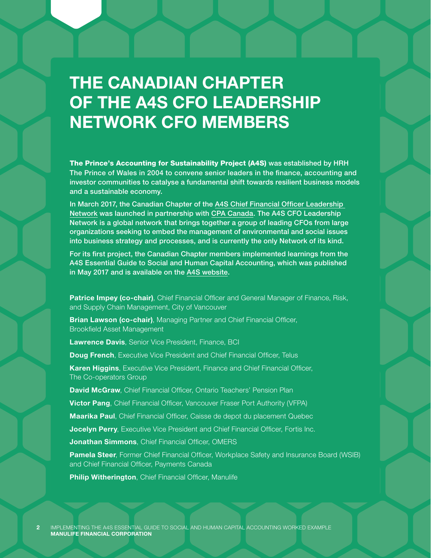# THE CANADIAN CHAPTER OF THE A4S CFO LEADERSHIP NETWORK CFO MEMBERS

The Prince's Accounting for Sustainability Project (A4S) was established by HRH The Prince of Wales in 2004 to convene senior leaders in the finance, accounting and investor communities to catalyse a fundamental shift towards resilient business models and a sustainable economy.

In March 2017, the Canadian Chapter of the A4S Chief Financial Officer Leadership Network was launched in partnership with CPA Canada. The A4S CFO Leadership Network is a global network that brings together a group of leading CFOs from large organizations seeking to embed the management of environmental and social issues into business strategy and processes, and is currently the only Network of its kind.

For its first project, the Canadian Chapter members implemented learnings from the A4S Essential Guide to Social and Human Capital Accounting, which was published in May 2017 and is available on the A4S website.

Patrice Impey (co-chair), Chief Financial Officer and General Manager of Finance, Risk, and Supply Chain Management, City of Vancouver

**Brian Lawson (co-chair)**, Managing Partner and Chief Financial Officer, Brookfield Asset Management

Lawrence Davis, Senior Vice President, Finance, BCI

**Doug French, Executive Vice President and Chief Financial Officer, Telus** 

Karen Higgins, Executive Vice President, Finance and Chief Financial Officer, The Co-operators Group

David McGraw, Chief Financial Officer, Ontario Teachers' Pension Plan

**Victor Pang**, Chief Financial Officer, Vancouver Fraser Port Authority (VFPA)

Maarika Paul, Chief Financial Officer, Caisse de depot du placement Quebec

**Jocelyn Perry**, Executive Vice President and Chief Financial Officer, Fortis Inc.

Jonathan Simmons, Chief Financial Officer, OMERS

Pamela Steer, Former Chief Financial Officer, Workplace Safety and Insurance Board (WSIB) and Chief Financial Officer, Payments Canada

Philip Witherington, Chief Financial Officer, Manulife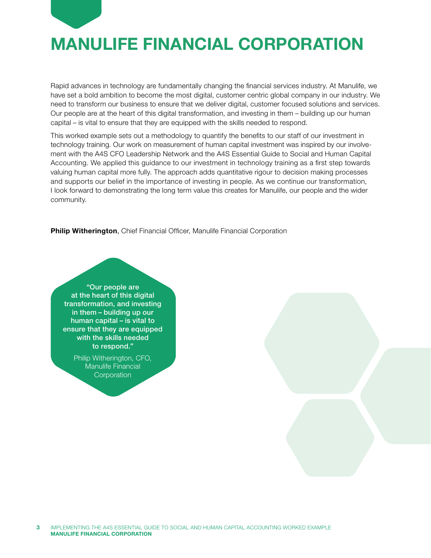

# MANULIFE FINANCIAL CORPORATION

Rapid advances in technology are fundamentally changing the financial services industry. At Manulife, we have set a bold ambition to become the most digital, customer centric global company in our industry. We need to transform our business to ensure that we deliver digital, customer focused solutions and services. Our people are at the heart of this digital transformation, and investing in them – building up our human capital – is vital to ensure that they are equipped with the skills needed to respond.

This worked example sets out a methodology to quantify the benefits to our staff of our investment in technology training. Our work on measurement of human capital investment was inspired by our involvement with the A4S CFO Leadership Network and the A4S Essential Guide to Social and Human Capital Accounting. We applied this guidance to our investment in technology training as a first step towards valuing human capital more fully. The approach adds quantitative rigour to decision making processes and supports our belief in the importance of investing in people. As we continue our transformation, I look forward to demonstrating the long term value this creates for Manulife, our people and the wider community.

Philip Witherington, Chief Financial Officer, Manulife Financial Corporation

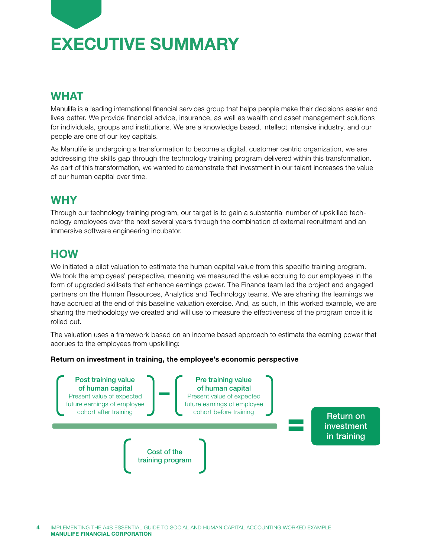

## WHAT

Manulife is a leading international financial services group that helps people make their decisions easier and lives better. We provide financial advice, insurance, as well as wealth and asset management solutions for individuals, groups and institutions. We are a knowledge based, intellect intensive industry, and our people are one of our key capitals.

As Manulife is undergoing a transformation to become a digital, customer centric organization, we are addressing the skills gap through the technology training program delivered within this transformation. As part of this transformation, we wanted to demonstrate that investment in our talent increases the value of our human capital over time.

## **WHY**

Through our technology training program, our target is to gain a substantial number of upskilled tech nology employees over the next several years through the combination of external recruitment and an immersive software engineering incubator.

## **HOW**

We initiated a pilot valuation to estimate the human capital value from this specific training program. We took the employees' perspective, meaning we measured the value accruing to our employees in the form of upgraded skillsets that enhance earnings power. The Finance team led the project and engaged partners on the Human Resources, Analytics and Technology teams. We are sharing the learnings we have accrued at the end of this baseline valuation exercise. And, as such, in this worked example, we are sharing the methodology we created and will use to measure the effectiveness of the program once it is rolled out.

The valuation uses a framework based on an income based approach to estimate the earning power that accrues to the employees from upskilling:

#### Return on investment in training, the employee's economic perspective



IMPLEMENTING THE A4S ESSENTIAL GUIDE TO SOCIAL AND HUMAN CAPITAL ACCOUNTING WORKED EXAMPLE MANULIFE FINANCIAL CORPORATION 4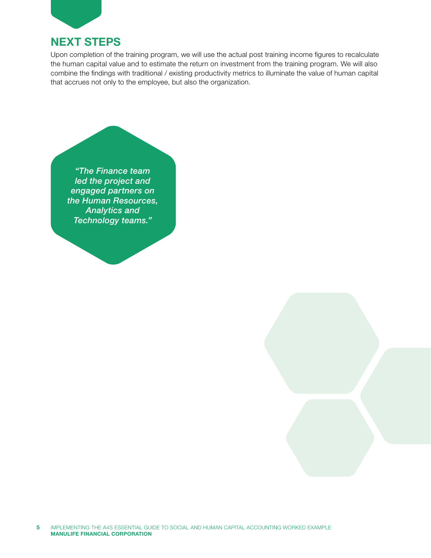

### NEXT STEPS

Upon completion of the training program, we will use the actual post training income figures to recalculate the human capital value and to estimate the return on investment from the training program. We will also combine the findings with traditional / existing productivity metrics to illuminate the value of human capital that accrues not only to the employee, but also the organization.



5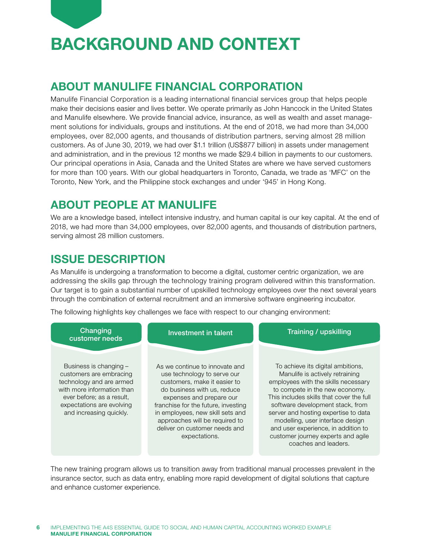

# BACKGROUND AND CONTEXT

## ABOUT MANULIFE FINANCIAL CORPORATION

Manulife Financial Corporation is a leading international financial services group that helps people make their decisions easier and lives better. We operate primarily as John Hancock in the United States and Manulife elsewhere. We provide financial advice, insurance, as well as wealth and asset manage ment solutions for individuals, groups and institutions. At the end of 2018, we had more than 34,000 employees, over 82,000 agents, and thousands of distribution partners, serving almost 28 million customers. As of June 30, 2019, we had over \$1.1 trillion (US\$877 billion) in assets under management and administration, and in the previous 12 months we made \$29.4 billion in payments to our customers. Our principal operations in Asia, Canada and the United States are where we have served customers for more than 100 years. With our global headquarters in Toronto, Canada, we trade as 'MFC' on the Toronto, New York, and the Philippine stock exchanges and under '945' in Hong Kong.

## ABOUT PEOPLE AT MANULIFE

We are a knowledge based, intellect intensive industry, and human capital is our key capital. At the end of 2018, we had more than 34,000 employees, over 82,000 agents, and thousands of distribution partners, serving almost 28 million customers.

## ISSUE DESCRIPTION

As Manulife is undergoing a transformation to become a digital, customer centric organization, we are addressing the skills gap through the technology training program delivered within this transformation. Our target is to gain a substantial number of upskilled technology employees over the next several years through the combination of external recruitment and an immersive software engineering incubator.

The following highlights key challenges we face with respect to our changing environment:



The new training program allows us to transition away from traditional manual processes prevalent in the insurance sector, such as data entry, enabling more rapid development of digital solutions that capture and enhance customer experience.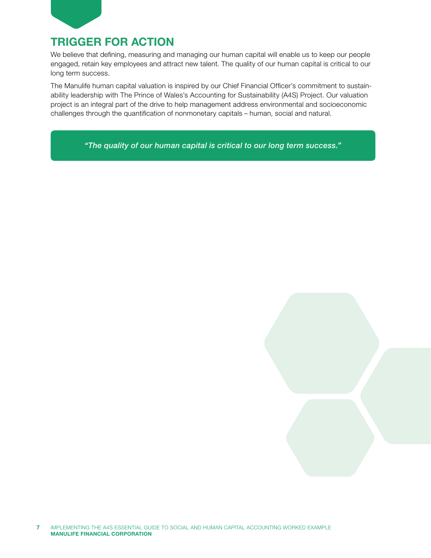

## TRIGGER FOR ACTION

We believe that defining, measuring and managing our human capital will enable us to keep our people engaged, retain key employees and attract new talent. The quality of our human capital is critical to our long term success.

The Manulife human capital valuation is inspired by our Chief Financial Officer's commitment to sustain ability leadership with The Prince of Wales's Accounting for Sustainability (A4S) Project. Our valuation project is an integral part of the drive to help management address environmental and socioeconomic challenges through the quantification of nonmonetary capitals – human, social and natural.

*"The quality of our human capital is critical to our long term success."*

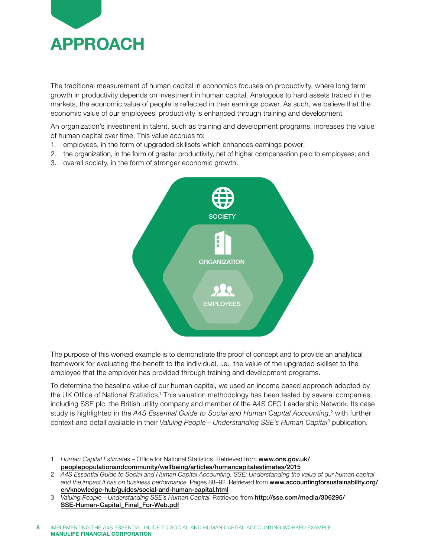

The traditional measurement of human capital in economics focuses on productivity, where long term growth in productivity depends on investment in human capital. Analogous to hard assets traded in the markets, the economic value of people is reflected in their earnings power. As such, we believe that the economic value of our employees' productivity is enhanced through training and development.

An organization's investment in talent, such as training and development programs, increases the value of human capital over time. This value accrues to:

- 1. employees, in the form of upgraded skillsets which enhances earnings power;
- 2. the organization, in the form of greater productivity, net of higher compensation paid to employees; and
- 3. overall society, in the form of stronger economic growth.



The purpose of this worked example is to demonstrate the proof of concept and to provide an analytical framework for evaluating the benefit to the individual, i.e., the value of the upgraded skillset to the employee that the employer has provided through training and development programs.

To determine the baseline value of our human capital, we used an income based approach adopted by the UK Office of National Statistics.<sup>1</sup> This valuation methodology has been tested by several companies, including SSE plc, the British utility company and member of the A4S CFO Leadership Network. Its case study is highlighted in the *A4S Essential Guide to Social and Human Capital Accounting*, 2 with further context and detail available in their *Valuing People – Understanding SSE's Human Capital*<sup>3</sup> publication.

<sup>1</sup> *Human Capital Estimates* – Office for National Statistics. Retrieved from [www.ons.gov.uk/](https://www.ons.gov.uk/peoplepopulationandcommunity/wellbeing/articles/humancapitalestimates/2015) [peoplepopulationandcommunity/wellbeing/articles/humancapitalestimates/2015](https://www.ons.gov.uk/peoplepopulationandcommunity/wellbeing/articles/humancapitalestimates/2015)

<sup>2</sup> *A4S Essential Guide to Social and Human Capital Accounting. SSE: Understanding the value of our human capital and the impact it has on business performance.* Pages 88–92. Retrieved from [www.accountingforsustainability.org/](https://www.accountingforsustainability.org/en/knowledge-hub/guides/social-and-human-capital.html) [en/knowledge-hub/guides/social-and-human-capital.html](https://www.accountingforsustainability.org/en/knowledge-hub/guides/social-and-human-capital.html)

<sup>3</sup> *Valuing People – Understanding SSE's Human Capital*. Retrieved from [http://sse.com/media/306295/](http://sse.com/media/306295/SSE-Human-Capital_Final_For-Web.pdf) [SSE-Human-Capital\\_Final\\_For-Web.pdf](http://sse.com/media/306295/SSE-Human-Capital_Final_For-Web.pdf)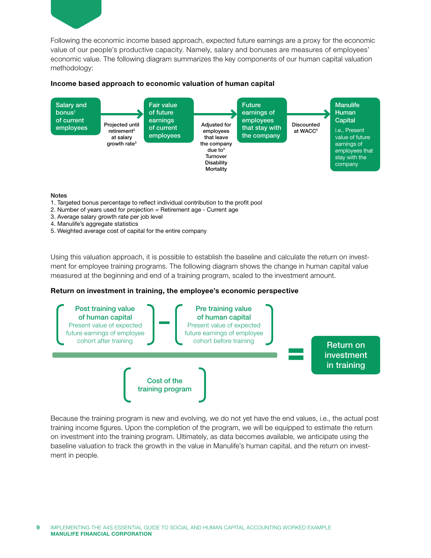

Following the economic income based approach, expected future earnings are a proxy for the economic value of our people's productive capacity. Namely, salary and bonuses are measures of employees' economic value. The following diagram summarizes the key components of our human capital valuation methodology:

#### Income based approach to economic valuation of human capital



#### Notes

- 1. Targeted bonus percentage to reflect individual contribution to the profit pool
- 2. Number of years used for projection = Retirement age Current age
- 3. Average salary growth rate per job level
- 4. Manulife's aggregate statistics
- 5. Weighted average cost of capital for the entire company

Using this valuation approach, it is possible to establish the baseline and calculate the return on investment for employee training programs. The following diagram shows the change in human capital value measured at the beginning and end of a training program, scaled to the investment amount.

#### Return on investment in training, the employee's economic perspective



Because the training program is new and evolving, we do not yet have the end values, i.e., the actual post training income figures. Upon the completion of the program, we will be equipped to estimate the return on investment into the training program. Ultimately, as data becomes available, we anticipate using the baseline valuation to track the growth in the value in Manulife's human capital, and the return on investment in people.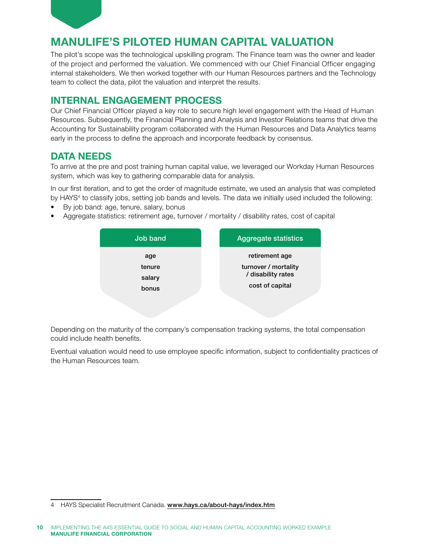

## MANULIFE'S PILOTED HUMAN CAPITAL VALUATION

The pilot's scope was the technological upskilling program. The Finance team was the owner and leader of the project and performed the valuation. We commenced with our Chief Financial Officer engaging internal stakeholders. We then worked together with our Human Resources partners and the Technology team to collect the data, pilot the valuation and interpret the results.

### INTERNAL ENGAGEMENT PROCESS

Our Chief Financial Officer played a key role to secure high level engagement with the Head of Human Resources. Subsequently, the Financial Planning and Analysis and Investor Relations teams that drive the Accounting for Sustainability program collaborated with the Human Resources and Data Analytics teams early in the process to define the approach and incorporate feedback by consensus.

#### DATA NEEDS

To arrive at the pre and post training human capital value, we leveraged our Workday Human Resources system, which was key to gathering comparable data for analysis.

In our first iteration, and to get the order of magnitude estimate, we used an analysis that was completed by HAYS<sup>4</sup> to classify jobs, setting job bands and levels. The data we initially used included the following:

- By job band: age, tenure, salary, bonus
- Aggregate statistics: retirement age, turnover / mortality / disability rates, cost of capital



Depending on the maturity of the company's compensation tracking systems, the total compensation could include health benefits.

Eventual valuation would need to use employee specific information, subject to confidentiality practices of the Human Resources team.

<sup>4</sup> HAYS Specialist Recruitment Canada. [www.hays.ca/about-hays/index.htm](http://www.hays.ca/about-hays/index.htm)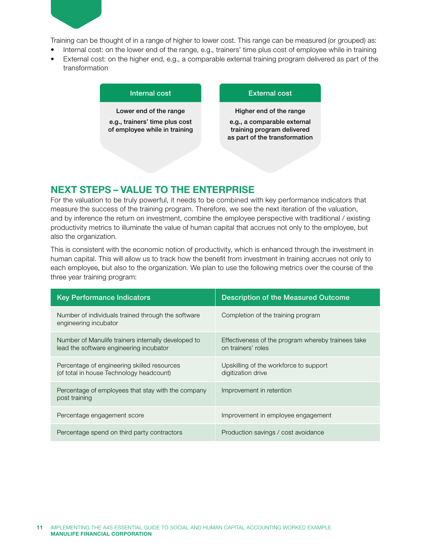

Training can be thought of in a range of higher to lower cost. This range can be measured (or grouped) as:

- Internal cost: on the lower end of the range, e.g., trainers' time plus cost of employee while in training
- External cost: on the higher end, e.g., a comparable external training program delivered as part of the transformation

| Internal cost                                                   | <b>External cost</b>                                                                       |
|-----------------------------------------------------------------|--------------------------------------------------------------------------------------------|
| Lower end of the range                                          | Higher end of the range                                                                    |
| e.g., trainers' time plus cost<br>of employee while in training | e.g., a comparable external<br>training program delivered<br>as part of the transformation |
|                                                                 |                                                                                            |

### NEXT STEPS – VALUE TO THE ENTERPRISE

For the valuation to be truly powerful, it needs to be combined with key performance indicators that measure the success of the training program. Therefore, we see the next iteration of the valuation, and by inference the return on investment, combine the employee perspective with traditional / existing productivity metrics to illuminate the value of human capital that accrues not only to the employee, but also the organization.

This is consistent with the economic notion of productivity, which is enhanced through the investment in human capital. This will allow us to track how the benefit from investment in training accrues not only to each employee, but also to the organization. We plan to use the following metrics over the course of the three year training program:

| <b>Key Performance Indicators</b>                                                              | <b>Description of the Measured Outcome</b>                               |
|------------------------------------------------------------------------------------------------|--------------------------------------------------------------------------|
| Number of individuals trained through the software<br>engineering incubator                    | Completion of the training program                                       |
| Number of Manulife trainers internally developed to<br>lead the software engineering incubator | Effectiveness of the program whereby trainees take<br>on trainers' roles |
| Percentage of engineering skilled resources<br>(of total in house Technology headcount)        | Upskilling of the workforce to support<br>digitization drive             |
| Percentage of employees that stay with the company<br>post training                            | Improvement in retention                                                 |
| Percentage engagement score                                                                    | Improvement in employee engagement                                       |
| Percentage spend on third party contractors                                                    | Production savings / cost avoidance                                      |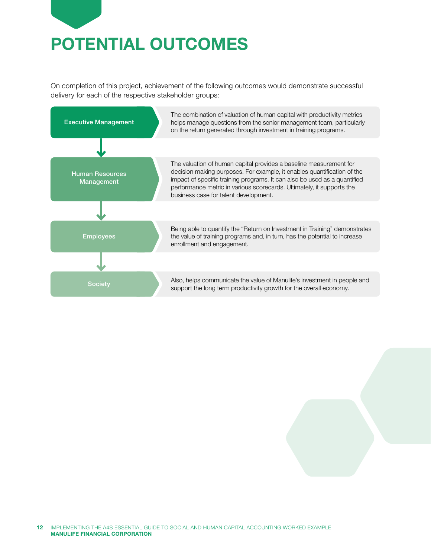

On completion of this project, achievement of the following outcomes would demonstrate successful delivery for each of the respective stakeholder groups:

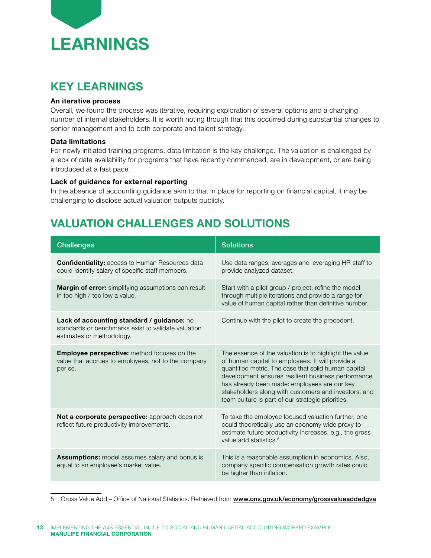

## KEY LEARNINGS

#### An iterative process

Overall, we found the process was iterative, requiring exploration of several options and a changing number of internal stakeholders. It is worth noting though that this occurred during substantial changes to senior management and to both corporate and talent strategy.

#### Data limitations

For newly initiated training programs, data limitation is the key challenge. The valuation is challenged by a lack of data availability for programs that have recently commenced, are in development, or are being introduced at a fast pace.

#### Lack of guidance for external reporting

In the absence of accounting guidance akin to that in place for reporting on financial capital, it may be challenging to disclose actual valuation outputs publicly.

## VALUATION CHALLENGES AND SOLUTIONS

| <b>Challenges</b>                                                                                                              | <b>Solutions</b>                                                                                                                                                                                                                                                                                                                                                                      |
|--------------------------------------------------------------------------------------------------------------------------------|---------------------------------------------------------------------------------------------------------------------------------------------------------------------------------------------------------------------------------------------------------------------------------------------------------------------------------------------------------------------------------------|
| <b>Confidentiality: access to Human Resources data</b><br>could identify salary of specific staff members.                     | Use data ranges, averages and leveraging HR staff to<br>provide analyzed dataset.                                                                                                                                                                                                                                                                                                     |
| <b>Margin of error:</b> simplifying assumptions can result<br>in too high / too low a value.                                   | Start with a pilot group / project, refine the model<br>through multiple iterations and provide a range for<br>value of human capital rather than definitive number.                                                                                                                                                                                                                  |
| Lack of accounting standard / guidance: no<br>standards or benchmarks exist to validate valuation<br>estimates or methodology. | Continue with the pilot to create the precedent.                                                                                                                                                                                                                                                                                                                                      |
| <b>Employee perspective:</b> method focuses on the<br>value that accrues to employees, not to the company<br>per se.           | The essence of the valuation is to highlight the value<br>of human capital to employees. It will provide a<br>quantified metric. The case that solid human capital<br>development ensures resilient business performance<br>has already been made: employees are our key<br>stakeholders along with customers and investors, and<br>team culture is part of our strategic priorities. |
| Not a corporate perspective: approach does not<br>reflect future productivity improvements.                                    | To take the employee focused valuation further, one<br>could theoretically use an economy wide proxy to<br>estimate future productivity increases, e.g., the gross<br>value add statistics. <sup>5</sup>                                                                                                                                                                              |
| <b>Assumptions:</b> model assumes salary and bonus is<br>equal to an employee's market value.                                  | This is a reasonable assumption in economics. Also,<br>company specific compensation growth rates could<br>be higher than inflation.                                                                                                                                                                                                                                                  |

5 Gross Value Add – Office of National Statistics. Retrieved from [www.ons.gov.uk/economy/grossvalueaddedgva](https://www.ons.gov.uk/economy/grossvalueaddedgva)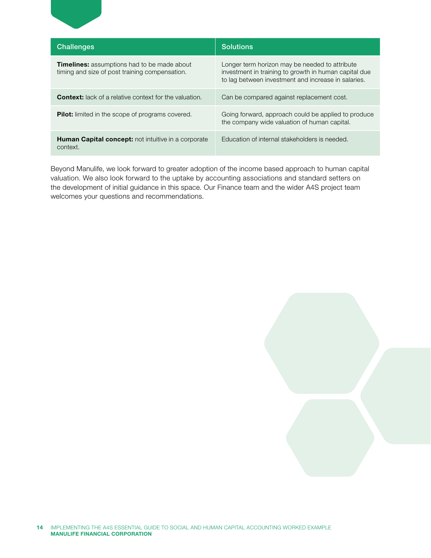| <b>Challenges</b>                                                                                    | <b>Solutions</b>                                                                                                                                               |  |
|------------------------------------------------------------------------------------------------------|----------------------------------------------------------------------------------------------------------------------------------------------------------------|--|
| <b>Timelines:</b> assumptions had to be made about<br>timing and size of post training compensation. | Longer term horizon may be needed to attribute<br>investment in training to growth in human capital due<br>to lag between investment and increase in salaries. |  |
| <b>Context:</b> lack of a relative context for the valuation.                                        | Can be compared against replacement cost.                                                                                                                      |  |
| <b>Pilot:</b> limited in the scope of programs covered.                                              | Going forward, approach could be applied to produce<br>the company wide valuation of human capital.                                                            |  |
| <b>Human Capital concept:</b> not intuitive in a corporate<br>context.                               | Education of internal stakeholders is needed.                                                                                                                  |  |

Beyond Manulife, we look forward to greater adoption of the income based approach to human capital valuation. We also look forward to the uptake by accounting associations and standard setters on the development of initial guidance in this space. Our Finance team and the wider A4S project team welcomes your questions and recommendations.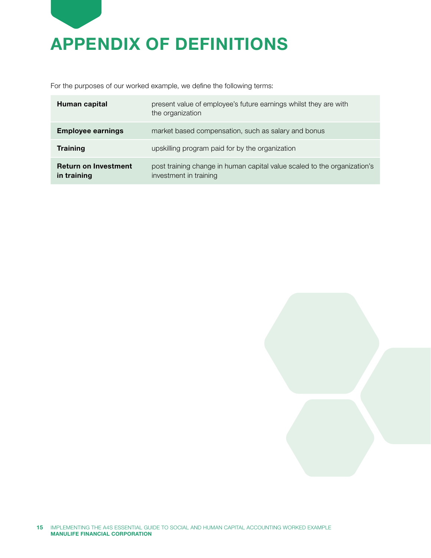

For the purposes of our worked example, we define the following terms:

| Human capital                              | present value of employee's future earnings whilst they are with<br>the organization               |
|--------------------------------------------|----------------------------------------------------------------------------------------------------|
| <b>Employee earnings</b>                   | market based compensation, such as salary and bonus                                                |
| <b>Training</b>                            | upskilling program paid for by the organization                                                    |
| <b>Return on Investment</b><br>in training | post training change in human capital value scaled to the organization's<br>investment in training |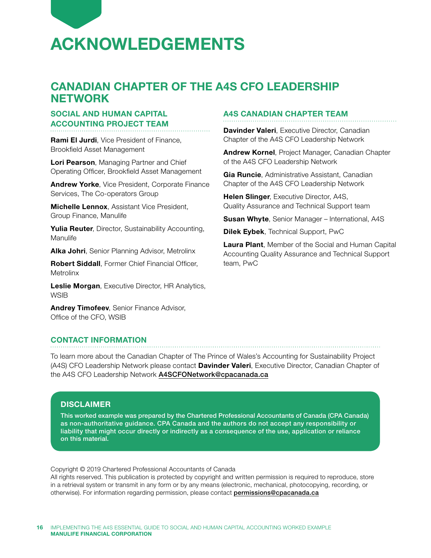

### CANADIAN CHAPTER OF THE A4S CFO LEADERSHIP **NETWORK**

#### SOCIAL AND HUMAN CAPITAL ACCOUNTING PROJECT TEAM

Rami El Jurdi, Vice President of Finance, Brookfield Asset Management

Lori Pearson, Managing Partner and Chief Operating Officer, Brookfield Asset Management

Andrew Yorke, Vice President, Corporate Finance Services, The Co-operators Group

**Michelle Lennox.** Assistant Vice President. Group Finance, Manulife

Yulia Reuter, Director, Sustainability Accounting, Manulife

Alka Johri, Senior Planning Advisor, Metrolinx

Robert Siddall, Former Chief Financial Officer, Metrolinx

Leslie Morgan, Executive Director, HR Analytics, **WSIB** 

Andrey Timofeev, Senior Finance Advisor, Office of the CFO, WSIB

#### CONTACT INFORMATION

To learn more about the Canadian Chapter of The Prince of Wales's Accounting for Sustainability Project (A4S) CFO Leadership Network please contact **Davinder Valeri**, Executive Director, Canadian Chapter of the A4S CFO Leadership Network [A4SCFONetwork@cpacanada.ca](mailto:A4SCFONetwork%40cpacanada.ca?subject=)

#### **DISCLAIMER**

This worked example was prepared by the Chartered Professional Accountants of Canada (CPA Canada) as non-authoritative guidance. CPA Canada and the authors do not accept any responsibility or liability that might occur directly or indirectly as a consequence of the use, application or reliance on this material.

Copyright © 2019 Chartered Professional Accountants of Canada

All rights reserved. This publication is protected by copyright and written permission is required to reproduce, store in a retrieval system or transmit in any form or by any means (electronic, mechanical, photocopying, recording, or otherwise). For information regarding permission, please contact [permissions@cpacanada.ca](mailto:permissions%40cpacanada.ca?subject=)

#### A4S CANADIAN CHAPTER TEAM

Davinder Valeri, Executive Director, Canadian Chapter of the A4S CFO Leadership Network

Andrew Kornel, Project Manager, Canadian Chapter of the A4S CFO Leadership Network

Gia Runcie, Administrative Assistant, Canadian Chapter of the A4S CFO Leadership Network

Helen Slinger, Executive Director, A4S, Quality Assurance and Technical Support team

**Susan Whyte, Senior Manager – International, A4S** 

Dilek Eybek, Technical Support, PwC

Laura Plant, Member of the Social and Human Capital Accounting Quality Assurance and Technical Support team, PwC